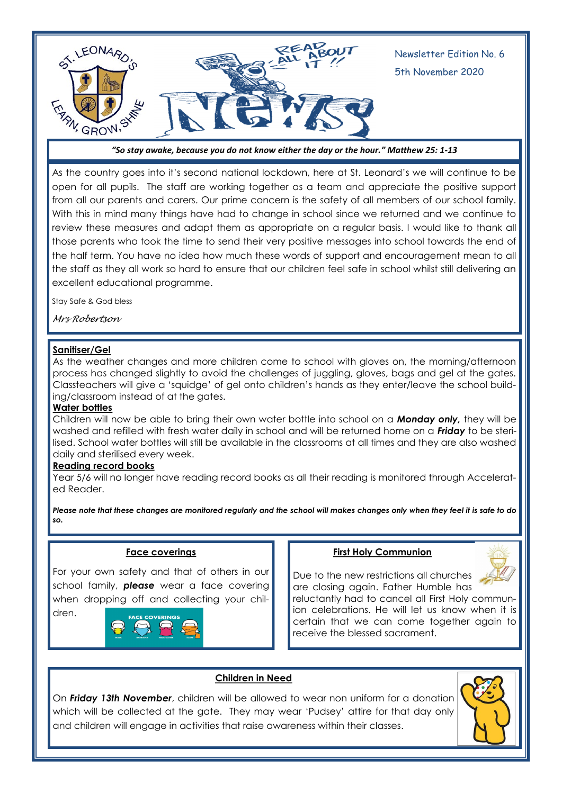

*"So stay awake, because you do not know either the day or the hour." Matthew 25: 1-13* 

As the country goes into it's second national lockdown, here at St. Leonard's we will continue to be open for all pupils. The staff are working together as a team and appreciate the positive support from all our parents and carers. Our prime concern is the safety of all members of our school family. With this in mind many things have had to change in school since we returned and we continue to review these measures and adapt them as appropriate on a regular basis. I would like to thank all those parents who took the time to send their very positive messages into school towards the end of the half term. You have no idea how much these words of support and encouragement mean to all the staff as they all work so hard to ensure that our children feel safe in school whilst still delivering an excellent educational programme.

Stay Safe & God bless

*Mrs Robertson*

#### **Sanitiser/Gel**

As the weather changes and more children come to school with gloves on, the morning/afternoon process has changed slightly to avoid the challenges of juggling, gloves, bags and gel at the gates. Classteachers will give a 'squidge' of gel onto children's hands as they enter/leave the school building/classroom instead of at the gates.

#### **Water bottles**

Children will now be able to bring their own water bottle into school on a *Monday only,* they will be washed and refilled with fresh water daily in school and will be returned home on a *Friday* to be sterilised. School water bottles will still be available in the classrooms at all times and they are also washed daily and sterilised every week.

#### **Reading record books**

Year 5/6 will no longer have reading record books as all their reading is monitored through Accelerated Reader.

*Please note that these changes are monitored regularly and the school will makes changes only when they feel it is safe to do so.*

#### **Face coverings**

For your own safety and that of others in our school family, *please* wear a face covering when dropping off and collecting your children.



#### **First Holy Communion**



Due to the new restrictions all churches are closing again. Father Humble has

reluctantly had to cancel all First Holy communion celebrations. He will let us know when it is certain that we can come together again to receive the blessed sacrament.

## **Children in Need**

On *Friday 13th November*, children will be allowed to wear non uniform for a donation which will be collected at the gate. They may wear 'Pudsey' attire for that day only and children will engage in activities that raise awareness within their classes.

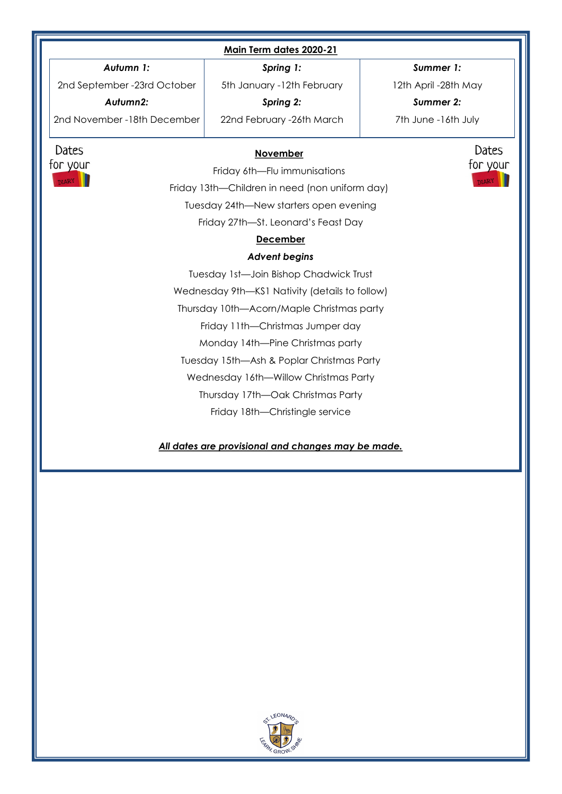| Main Term dates 2020-21                                                                   |                            |                      |
|-------------------------------------------------------------------------------------------|----------------------------|----------------------|
| Autumn 1:                                                                                 | Spring 1:                  | Summer 1:            |
| 2nd September -23rd October                                                               | 5th January -12th February | 12th April -28th May |
| Autumn2:                                                                                  | Spring 2:                  | Summer 2:            |
| 2nd November - 18th December                                                              | 22nd February -26th March  | 7th June -16th July  |
| Dates<br>Dates<br><b>November</b><br>for your<br>for your<br>Friday 6th-Flu immunisations |                            |                      |
| <b>DIARY</b><br><b>DIARY</b><br>Friday 13th-Children in need (non uniform day)            |                            |                      |
| Tuesday 24th-New starters open evening                                                    |                            |                      |
| Friday 27th-St. Leonard's Feast Day                                                       |                            |                      |
| <b>December</b>                                                                           |                            |                      |
| <b>Advent begins</b>                                                                      |                            |                      |
| Tuesday 1st-Join Bishop Chadwick Trust                                                    |                            |                      |
| Wednesday 9th-KS1 Nativity (details to follow)                                            |                            |                      |
| Thursday 10th-Acorn/Maple Christmas party                                                 |                            |                      |
| Friday 11th-Christmas Jumper day                                                          |                            |                      |
| Monday 14th-Pine Christmas party                                                          |                            |                      |
| Tuesday 15th-Ash & Poplar Christmas Party                                                 |                            |                      |
| Wednesday 16th-Willow Christmas Party                                                     |                            |                      |
| Thursday 17th-Oak Christmas Party                                                         |                            |                      |
| Friday 18th-Christingle service                                                           |                            |                      |
| All dates are provisional and changes may be made.                                        |                            |                      |